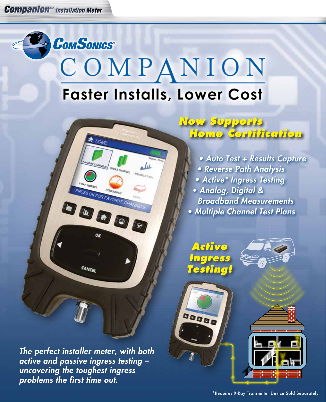*Companion™ Installation Meter*

## **COMSONICS®** COMPANION **Faster Installs, Lower Cost**

REVERSE PATH

• Auto Test + Results Capture • Reverse Path Analysis • Active\* Ingress Testing • Analog, Digital & Broadband Measurements • Multiple Channel Test Plans

**Home Certification**

**Now Supports**

**Active Ingress Testing!**





× --

Λ

Λ



The perfect installer meter, with both active and passive ingress testing – uncovering the toughest ingress problems the first time out.

CANCEL

**OT** HOME

**PRESS OK FOR FAVORITE CH** 

DOOD O

 $\leftarrow$   $\leftarrow$   $\leftarrow$